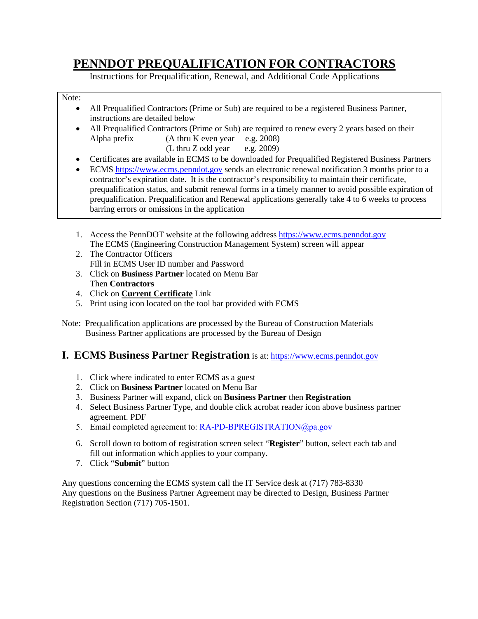# **PENNDOT PREQUALIFICATION FOR CONTRACTORS**

Instructions for Prequalification, Renewal, and Additional Code Applications

#### Note:

- All Prequalified Contractors (Prime or Sub) are required to be a registered Business Partner, instructions are detailed below
- All Prequalified Contractors (Prime or Sub) are required to renew every 2 years based on their Alpha prefix (A thru K even year e.g. 2008)
	- (L thru Z odd year e.g. 2009)
- Certificates are available in ECMS to be downloaded for Prequalified Registered Business Partners
- ECMS [https://www.ecms.penndot.gov](https://www.ecms.penndot.gov/) sends an electronic renewal notification 3 months prior to a contractor's expiration date. It is the contractor's responsibility to maintain their certificate, prequalification status, and submit renewal forms in a timely manner to avoid possible expiration of prequalification. Prequalification and Renewal applications generally take 4 to 6 weeks to process barring errors or omissions in the application
- 1. Access the PennDOT website at the following address [https://www.ecms.penndot.gov](https://www.ecms.penndot.gov/) The ECMS (Engineering Construction Management System) screen will appear
- 2. The Contractor Officers Fill in ECMS User ID number and Password
- 3. Click on **Business Partner** located on Menu Bar Then **Contractors**
- 4. Click on **Current Certificate** Link
- 5. Print using icon located on the tool bar provided with ECMS
- Note: Prequalification applications are processed by the Bureau of Construction Materials Business Partner applications are processed by the Bureau of Design

## **I. ECMS Business Partner Registration** is at[: https://www.ecms.penndot.gov](https://www.ecms.penndot.gov/)

- 1. Click where indicated to enter ECMS as a guest
- 2. Click on **Business Partner** located on Menu Bar
- 3. Business Partner will expand, click on **Business Partner** then **Registration**
- 4. Select Business Partner Type, and double click acrobat reader icon above business partner agreement. PDF
- 5. Email completed agreement to: [RA-PD-BPREGISTRATION@pa.gov](mailto:RA-PD-BPREGISTRATION@pa.gov)
- 6. Scroll down to bottom of registration screen select "**Register**" button, select each tab and fill out information which applies to your company.
- 7. Click "**Submit**" button

Any questions concerning the ECMS system call the IT Service desk at (717) 783-8330 Any questions on the Business Partner Agreement may be directed to Design, Business Partner Registration Section (717) 705-1501.